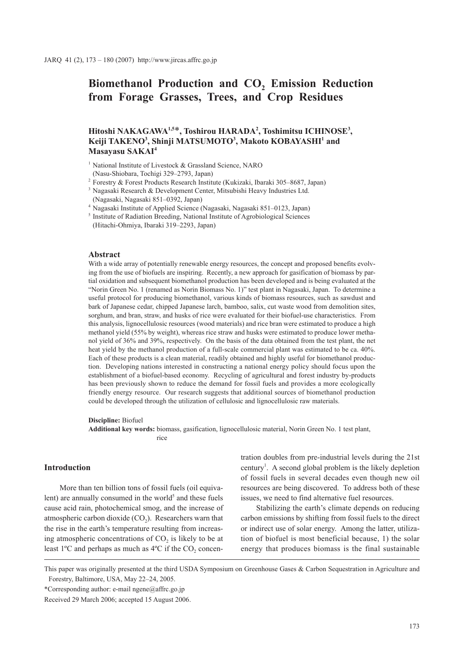# Biomethanol Production and CO<sub>2</sub> Emission Reduction **from Forage Grasses, Trees, and Crop Residues**

## **Hitoshi NAKAGAWA1,5**\***, Toshirou HARADA2 , Toshimitsu ICHINOSE3 , Keiji TAKENO3 , Shinji MATSUMOTO3 , Makoto KOBAYASHI1 and Masayasu SAKAI4**

<sup>1</sup> National Institute of Livestock & Grassland Science, NARO (Nasu-Shiobara, Tochigi 329–2793, Japan)

<sup>2</sup> Forestry & Forest Products Research Institute (Kukizaki, Ibaraki 305–8687, Japan)

<sup>3</sup> Nagasaki Research & Development Center, Mitsubishi Heavy Industries Ltd. (Nagasaki, Nagasaki 851–0392, Japan)

<sup>4</sup> Nagasaki Institute of Applied Science (Nagasaki, Nagasaki 851–0123, Japan)

(Hitachi-Ohmiya, Ibaraki 319–2293, Japan)

#### **Abstract**

With a wide array of potentially renewable energy resources, the concept and proposed benefits evolving from the use of biofuels are inspiring. Recently, a new approach for gasification of biomass by partial oxidation and subsequent biomethanol production has been developed and is being evaluated at the "Norin Green No. 1 (renamed as Norin Biomass No. 1)" test plant in Nagasaki, Japan. To determine a useful protocol for producing biomethanol, various kinds of biomass resources, such as sawdust and bark of Japanese cedar, chipped Japanese larch, bamboo, salix, cut waste wood from demolition sites, sorghum, and bran, straw, and husks of rice were evaluated for their biofuel-use characteristics. From this analysis, lignocellulosic resources (wood materials) and rice bran were estimated to produce a high methanol yield (55% by weight), whereas rice straw and husks were estimated to produce lower methanol yield of 36% and 39%, respectively. On the basis of the data obtained from the test plant, the net heat yield by the methanol production of a full-scale commercial plant was estimated to be ca. 40%. Each of these products is a clean material, readily obtained and highly useful for biomethanol production. Developing nations interested in constructing a national energy policy should focus upon the establishment of a biofuel-based economy. Recycling of agricultural and forest industry by-products has been previously shown to reduce the demand for fossil fuels and provides a more ecologically friendly energy resource. Our research suggests that additional sources of biomethanol production could be developed through the utilization of cellulosic and lignocellulosic raw materials.

**Discipline:** Biofuel

**Additional key words:** biomass, gasification, lignocellulosic material, Norin Green No. 1 test plant, rice

## **Introduction**

More than ten billion tons of fossil fuels (oil equivalent) are annually consumed in the world $5$  and these fuels cause acid rain, photochemical smog, and the increase of atmospheric carbon dioxide  $(CO<sub>2</sub>)$ . Researchers warn that the rise in the earth's temperature resulting from increasing atmospheric concentrations of  $CO<sub>2</sub>$  is likely to be at least  $1^{\circ}$ C and perhaps as much as  $4^{\circ}$ C if the CO<sub>2</sub> concentration doubles from pre-industrial levels during the 21st century<sup>1</sup>. A second global problem is the likely depletion of fossil fuels in several decades even though new oil resources are being discovered. To address both of these issues, we need to find alternative fuel resources.

Stabilizing the earth's climate depends on reducing carbon emissions by shifting from fossil fuels to the direct or indirect use of solar energy. Among the latter, utilization of biofuel is most beneficial because, 1) the solar energy that produces biomass is the final sustainable

\*Corresponding author: e-mail ngene@affrc.go.jp

<sup>&</sup>lt;sup>5</sup> Institute of Radiation Breeding, National Institute of Agrobiological Sciences

This paper was originally presented at the third USDA Symposium on Greenhouse Gases & Carbon Sequestration in Agriculture and Forestry, Baltimore, USA, May 22–24, 2005.

Received 29 March 2006; accepted 15 August 2006.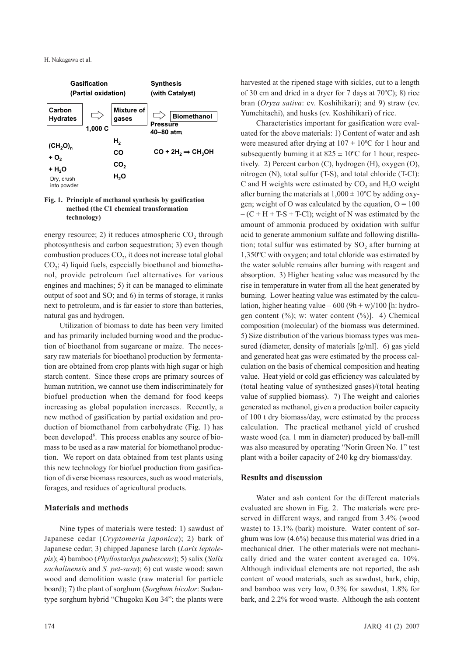

#### **Fig. 1. Principle of methanol synthesis by gasification method (the C1 chemical transformation technology)**

energy resource;  $2$ ) it reduces atmospheric  $CO<sub>2</sub>$  through photosynthesis and carbon sequestration; 3) even though combustion produces  $CO<sub>2</sub>$ , it does not increase total global  $CO<sub>2</sub>$ ; 4) liquid fuels, especially bioethanol and biomethanol, provide petroleum fuel alternatives for various engines and machines; 5) it can be managed to eliminate output of soot and SO; and 6) in terms of storage, it ranks next to petroleum, and is far easier to store than batteries, natural gas and hydrogen.

Utilization of biomass to date has been very limited and has primarily included burning wood and the production of bioethanol from sugarcane or maize. The necessary raw materials for bioethanol production by fermentation are obtained from crop plants with high sugar or high starch content. Since these crops are primary sources of human nutrition, we cannot use them indiscriminately for biofuel production when the demand for food keeps increasing as global population increases. Recently, a new method of gasification by partial oxidation and production of biomethanol from carbohydrate (Fig. 1) has been developed<sup>6</sup>. This process enables any source of biomass to be used as a raw material for biomethanol production. We report on data obtained from test plants using this new technology for biofuel production from gasification of diverse biomass resources, such as wood materials, forages, and residues of agricultural products.

## **Materials and methods**

Nine types of materials were tested: 1) sawdust of Japanese cedar (*Cryptomeria japonica*); 2) bark of Japanese cedar; 3) chipped Japanese larch (*Larix leptolepis*); 4) bamboo (*Phyllostachys pubescens*); 5) salix (*Salix sachalinensis* and *S. pet-susu*); 6) cut waste wood: sawn wood and demolition waste (raw material for particle board); 7) the plant of sorghum (*Sorghum bicolor*: Sudantype sorghum hybrid "Chugoku Kou 34"; the plants were

Characteristics important for gasification were evaluated for the above materials: 1) Content of water and ash were measured after drying at  $107 \pm 10^{\circ}$ C for 1 hour and subsequently burning it at  $825 \pm 10^{\circ}$ C for 1 hour, respectively. 2) Percent carbon (C), hydrogen (H), oxygen (O), nitrogen (N), total sulfur (T-S), and total chloride (T-Cl): C and H weights were estimated by  $CO<sub>2</sub>$  and  $H<sub>2</sub>O$  weight after burning the materials at  $1,000 \pm 10^{\circ}$ C by adding oxygen; weight of O was calculated by the equation,  $O = 100$  $- (C + H + T - S + T - C)$ ; weight of N was estimated by the amount of ammonia produced by oxidation with sulfur acid to generate ammonium sulfate and following distillation; total sulfur was estimated by  $SO<sub>2</sub>$  after burning at 1,350ºC with oxygen; and total chloride was estimated by the water soluble remains after burning with reagent and absorption. 3) Higher heating value was measured by the rise in temperature in water from all the heat generated by burning. Lower heating value was estimated by the calculation, higher heating value –  $600 (9h + w)/100$  [h: hydrogen content (%); w: water content (%)]. 4) Chemical composition (molecular) of the biomass was determined. 5) Size distribution of the various biomass types was measured (diameter, density of materials [g/ml]. 6) gas yield and generated heat gas were estimated by the process calculation on the basis of chemical composition and heating value. Heat yield or cold gas efficiency was calculated by (total heating value of synthesized gases)/(total heating value of supplied biomass). 7) The weight and calories generated as methanol, given a production boiler capacity of 100 t dry biomass/day, were estimated by the process calculation. The practical methanol yield of crushed waste wood (ca. 1 mm in diameter) produced by ball-mill was also measured by operating "Norin Green No. 1" test plant with a boiler capacity of 240 kg dry biomass/day.

## **Results and discussion**

Water and ash content for the different materials evaluated are shown in Fig. 2. The materials were preserved in different ways, and ranged from 3.4% (wood waste) to 13.1% (bark) moisture. Water content of sorghum was low (4.6%) because this material was dried in a mechanical drier. The other materials were not mechanically dried and the water content averaged ca. 10%. Although individual elements are not reported, the ash content of wood materials, such as sawdust, bark, chip, and bamboo was very low, 0.3% for sawdust, 1.8% for bark, and 2.2% for wood waste. Although the ash content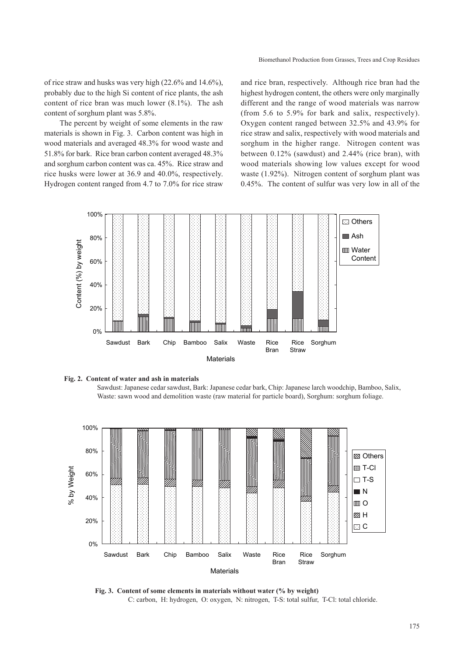of rice straw and husks was very high (22.6% and 14.6%), probably due to the high Si content of rice plants, the ash content of rice bran was much lower (8.1%). The ash content of sorghum plant was 5.8%.

The percent by weight of some elements in the raw materials is shown in Fig. 3. Carbon content was high in wood materials and averaged 48.3% for wood waste and 51.8% for bark. Rice bran carbon content averaged 48.3% and sorghum carbon content was ca. 45%. Rice straw and rice husks were lower at 36.9 and 40.0%, respectively. Hydrogen content ranged from 4.7 to 7.0% for rice straw and rice bran, respectively. Although rice bran had the highest hydrogen content, the others were only marginally different and the range of wood materials was narrow (from 5.6 to 5.9% for bark and salix, respectively). Oxygen content ranged between 32.5% and 43.9% for rice straw and salix, respectively with wood materials and sorghum in the higher range. Nitrogen content was between 0.12% (sawdust) and 2.44% (rice bran), with wood materials showing low values except for wood waste (1.92%). Nitrogen content of sorghum plant was 0.45%. The content of sulfur was very low in all of the





Sawdust: Japanese cedar sawdust, Bark: Japanese cedar bark, Chip: Japanese larch woodchip, Bamboo, Salix, Waste: sawn wood and demolition waste (raw material for particle board), Sorghum: sorghum foliage.



**Fig. 3. Content of some elements in materials without water (% by weight)** C: carbon, H: hydrogen, O: oxygen, N: nitrogen, T-S: total sulfur, T-Cl: total chloride.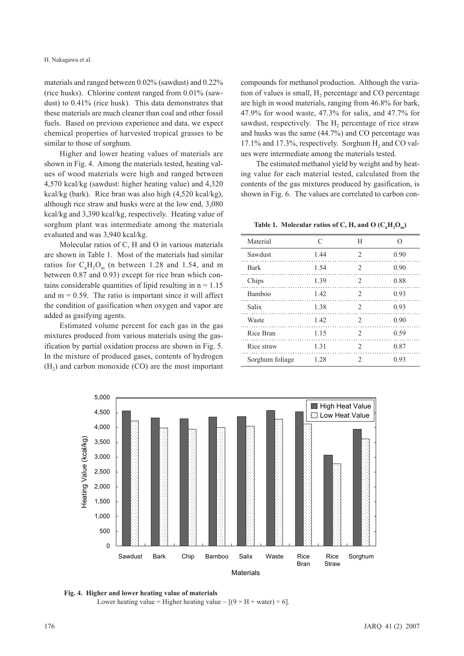materials and ranged between 0.02% (sawdust) and 0.22% (rice husks). Chlorine content ranged from 0.01% (sawdust) to 0.41% (rice husk). This data demonstrates that these materials are much cleaner than coal and other fossil fuels. Based on previous experience and data, we expect chemical properties of harvested tropical grasses to be similar to those of sorghum.

Higher and lower heating values of materials are shown in Fig. 4. Among the materials tested, heating values of wood materials were high and ranged between 4,570 kcal/kg (sawdust: higher heating value) and 4,320 kcal/kg (bark). Rice bran was also high (4,520 kcal/kg), although rice straw and husks were at the low end, 3,080 kcal/kg and 3,390 kcal/kg, respectively. Heating value of sorghum plant was intermediate among the materials evaluated and was 3,940 kcal/kg.

Molecular ratios of C, H and O in various materials are shown in Table 1. Most of the materials had similar ratios for  $C_nH_2O_m$  (n between 1.28 and 1.54, and m between 0.87 and 0.93) except for rice bran which contains considerable quantities of lipid resulting in  $n = 1.15$ and  $m = 0.59$ . The ratio is important since it will affect the condition of gasification when oxygen and vapor are added as gasifying agents.

Estimated volume percent for each gas in the gas mixtures produced from various materials using the gasification by partial oxidation process are shown in Fig. 5. In the mixture of produced gases, contents of hydrogen  $(H<sub>2</sub>)$  and carbon monoxide  $(CO)$  are the most important compounds for methanol production. Although the variation of values is small, H<sub>2</sub> percentage and CO percentage are high in wood materials, ranging from 46.8% for bark, 47.9% for wood waste, 47.3% for salix, and 47.7% for sawdust, respectively. The  $H_2$  percentage of rice straw and husks was the same (44.7%) and CO percentage was  $17.1\%$  and  $17.3\%$ , respectively. Sorghum H<sub>2</sub> and CO values were intermediate among the materials tested.

The estimated methanol yield by weight and by heating value for each material tested, calculated from the contents of the gas mixtures produced by gasification, is shown in Fig. 6. The values are correlated to carbon con-

Table 1. Molecular ratios of C, H, and O  $(C<sub>n</sub>H<sub>2</sub>O<sub>m</sub>)$ 

| Material        |      | H                             | $\Omega$ |
|-----------------|------|-------------------------------|----------|
| Sawdust         | 1.44 | $\mathfrak{D}_{\mathfrak{p}}$ | 0.90     |
| <b>Bark</b>     | 1.54 | 2                             | 0.90     |
| Chips           | 1.39 | 2                             | 0.88     |
| Bamboo          | 1.42 | $\mathfrak{D}_{\cdot}$        | 0.93     |
| Salix           | 1.38 | $\mathfrak{D}_{\mathfrak{p}}$ | 0.93     |
| Waste           | 1.42 | $\mathfrak{D}_{\cdot}$        | 0.90     |
| Rice Bran       | 1.15 | $\mathfrak{D}_{\mathfrak{p}}$ | 0.59     |
| Rice straw      | 1.31 | $\mathfrak{D}_{\cdot}$        | 0.87     |
| Sorghum foliage | 1.28 | 2                             | 0.93     |



**Fig. 4. Higher and lower heating value of materials**  Lower heating value = Higher heating value  $-$  [(9  $\times$  H + water)  $\times$  6].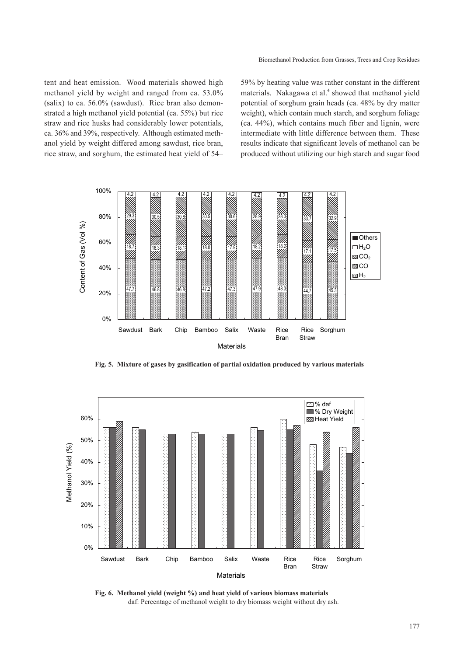Biomethanol Production from Grasses, Trees and Crop Residues

tent and heat emission. Wood materials showed high methanol yield by weight and ranged from ca. 53.0% (salix) to ca. 56.0% (sawdust). Rice bran also demonstrated a high methanol yield potential (ca. 55%) but rice straw and rice husks had considerably lower potentials, ca. 36% and 39%, respectively. Although estimated methanol yield by weight differed among sawdust, rice bran, rice straw, and sorghum, the estimated heat yield of 54– 59% by heating value was rather constant in the different materials. Nakagawa et al.<sup>4</sup> showed that methanol yield potential of sorghum grain heads (ca. 48% by dry matter weight), which contain much starch, and sorghum foliage (ca. 44%), which contains much fiber and lignin, were intermediate with little difference between them. These results indicate that significant levels of methanol can be produced without utilizing our high starch and sugar food



**Fig. 5. Mixture of gases by gasification of partial oxidation produced by various materials**



**Fig. 6. Methanol yield (weight %) and heat yield of various biomass materials** daf: Percentage of methanol weight to dry biomass weight without dry ash.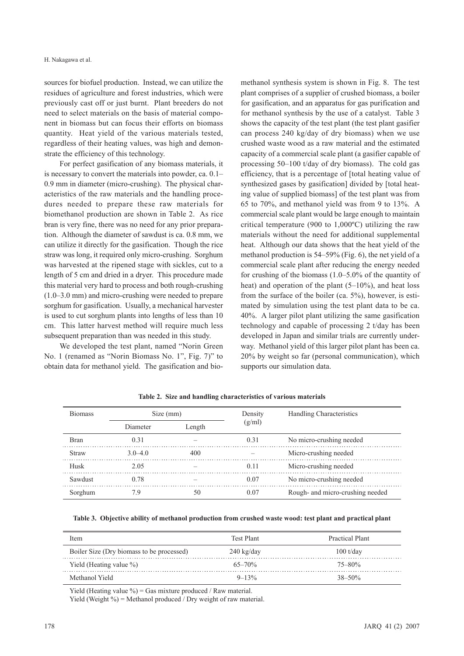sources for biofuel production. Instead, we can utilize the residues of agriculture and forest industries, which were previously cast off or just burnt. Plant breeders do not need to select materials on the basis of material component in biomass but can focus their efforts on biomass quantity. Heat yield of the various materials tested, regardless of their heating values, was high and demonstrate the efficiency of this technology.

For perfect gasification of any biomass materials, it is necessary to convert the materials into powder, ca. 0.1– 0.9 mm in diameter (micro-crushing). The physical characteristics of the raw materials and the handling procedures needed to prepare these raw materials for biomethanol production are shown in Table 2. As rice bran is very fine, there was no need for any prior preparation. Although the diameter of sawdust is ca. 0.8 mm, we can utilize it directly for the gasification. Though the rice straw was long, it required only micro-crushing. Sorghum was harvested at the ripened stage with sickles, cut to a length of 5 cm and dried in a dryer. This procedure made this material very hard to process and both rough-crushing (1.0–3.0 mm) and micro-crushing were needed to prepare sorghum for gasification. Usually, a mechanical harvester is used to cut sorghum plants into lengths of less than 10 cm. This latter harvest method will require much less subsequent preparation than was needed in this study.

We developed the test plant, named "Norin Green No. 1 (renamed as "Norin Biomass No. 1", Fig. 7)" to obtain data for methanol yield. The gasification and biomethanol synthesis system is shown in Fig. 8. The test plant comprises of a supplier of crushed biomass, a boiler for gasification, and an apparatus for gas purification and for methanol synthesis by the use of a catalyst. Table 3 shows the capacity of the test plant (the test plant gasifier can process 240 kg/day of dry biomass) when we use crushed waste wood as a raw material and the estimated capacity of a commercial scale plant (a gasifier capable of processing 50–100 t/day of dry biomass). The cold gas efficiency, that is a percentage of [total heating value of synthesized gases by gasification] divided by [total heating value of supplied biomass] of the test plant was from 65 to 70%, and methanol yield was from 9 to 13%. A commercial scale plant would be large enough to maintain critical temperature (900 to 1,000ºC) utilizing the raw materials without the need for additional supplemental heat. Although our data shows that the heat yield of the methanol production is 54–59% (Fig. 6), the net yield of a commercial scale plant after reducing the energy needed for crushing of the biomass (1.0–5.0% of the quantity of heat) and operation of the plant (5–10%), and heat loss from the surface of the boiler (ca. 5%), however, is estimated by simulation using the test plant data to be ca. 40%. A larger pilot plant utilizing the same gasification technology and capable of processing 2 t/day has been developed in Japan and similar trials are currently underway. Methanol yield of this larger pilot plant has been ca. 20% by weight so far (personal communication), which supports our simulation data.

| <b>Biomass</b> | Size (mm)   |        | Density | Handling Characteristics         |
|----------------|-------------|--------|---------|----------------------------------|
|                | Diameter    | Length | (g/ml)  |                                  |
| <b>Bran</b>    | 0.31        |        | 0.31    | No micro-crushing needed         |
| Straw          | $3.0 - 4.0$ | 400    |         | Micro-crushing needed            |
| Husk           | 2.05        |        | 0.11    | Micro-crushing needed            |
| Sawdust        | 0.78        |        | 0.07    | No micro-crushing needed         |
| Sorghum        | 7.9         | 50     | 0.07    | Rough- and micro-crushing needed |

**Table 2. Size and handling characteristics of various materials** 

**Table 3. Objective ability of methanol production from crushed waste wood: test plant and practical plant**

| Item                                      | Test Plant           | Practical Plant     |
|-------------------------------------------|----------------------|---------------------|
| Boiler Size (Dry biomass to be processed) | $240 \text{ kg/day}$ | $100 \frac{t}{day}$ |
| Yield (Heating value $\%$ )               | $65 - 70\%$          | 75–80%              |
| Methanol Yield                            | $9 - 13\%$           | $38 - 50\%$         |

Yield (Heating value  $\%$ ) = Gas mixture produced / Raw material.

Yield (Weight  $\%$ ) = Methanol produced / Dry weight of raw material.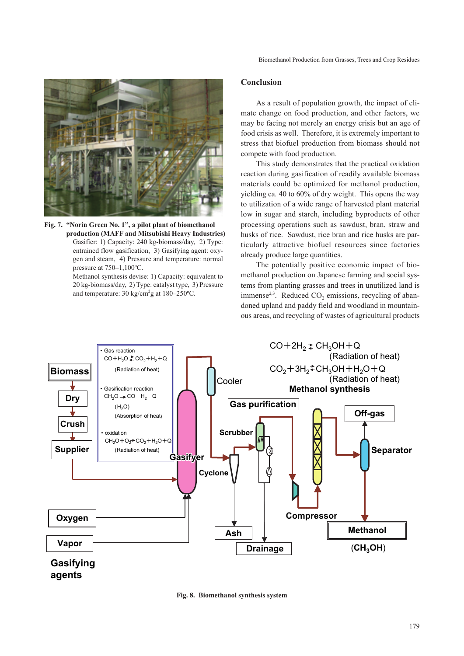

**Fig. 7. "Norin Green No. 1", a pilot plant of biomethanol production (MAFF and Mitsubishi Heavy Industries)**  Gasifier: 1) Capacity: 240 kg-biomass/day, 2) Type: entrained flow gasification, 3) Gasifying agent: oxygen and steam, 4) Pressure and temperature: normal pressure at 750–1,100ºC.

Methanol synthesis devise: 1) Capacity: equivalent to 20 kg-biomass/day, 2) Type: catalyst type, 3) Pressure and temperature:  $30 \text{ kg/cm}^2$ g at  $180-250$ °C.

#### **Conclusion**

As a result of population growth, the impact of climate change on food production, and other factors, we may be facing not merely an energy crisis but an age of food crisis as well. Therefore, it is extremely important to stress that biofuel production from biomass should not compete with food production.

This study demonstrates that the practical oxidation reaction during gasification of readily available biomass materials could be optimized for methanol production, yielding ca*.* 40 to 60% of dry weight. This opens the way to utilization of a wide range of harvested plant material low in sugar and starch, including byproducts of other processing operations such as sawdust, bran, straw and husks of rice. Sawdust, rice bran and rice husks are particularly attractive biofuel resources since factories already produce large quantities.

The potentially positive economic impact of biomethanol production on Japanese farming and social systems from planting grasses and trees in unutilized land is immense<sup>2,3</sup>. Reduced  $CO<sub>2</sub>$  emissions, recycling of abandoned upland and paddy field and woodland in mountainous areas, and recycling of wastes of agricultural products



**Fig. 8. Biomethanol synthesis system**